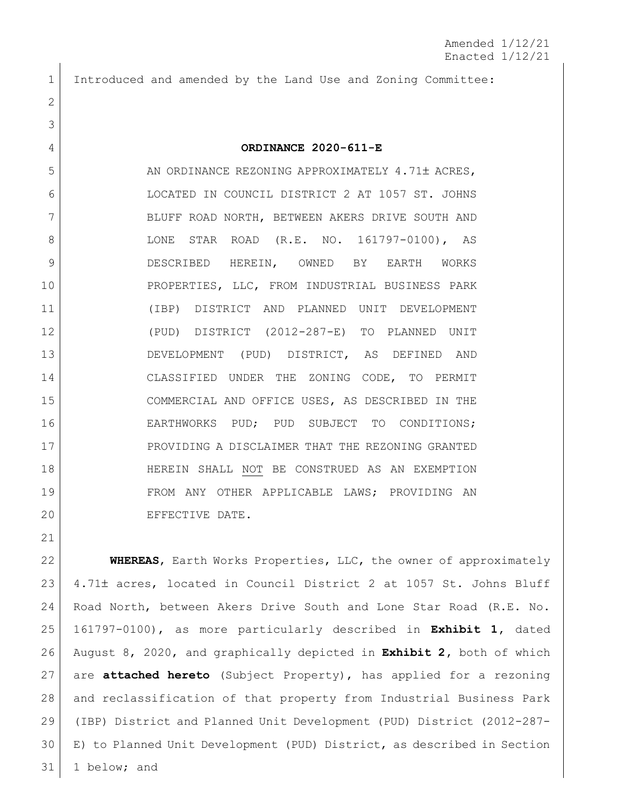Introduced and amended by the Land Use and Zoning Committee:

## **ORDINANCE 2020-611-E**

5 AN ORDINANCE REZONING APPROXIMATELY 4.71± ACRES, LOCATED IN COUNCIL DISTRICT 2 AT 1057 ST. JOHNS 7 BLUFF ROAD NORTH, BETWEEN AKERS DRIVE SOUTH AND 8 | LONE STAR ROAD (R.E. NO. 161797-0100), AS DESCRIBED HEREIN, OWNED BY EARTH WORKS PROPERTIES, LLC, FROM INDUSTRIAL BUSINESS PARK (IBP) DISTRICT AND PLANNED UNIT DEVELOPMENT (PUD) DISTRICT (2012-287-E) TO PLANNED UNIT DEVELOPMENT (PUD) DISTRICT, AS DEFINED AND CLASSIFIED UNDER THE ZONING CODE, TO PERMIT COMMERCIAL AND OFFICE USES, AS DESCRIBED IN THE EARTHWORKS PUD; PUD SUBJECT TO CONDITIONS; PROVIDING A DISCLAIMER THAT THE REZONING GRANTED HEREIN SHALL NOT BE CONSTRUED AS AN EXEMPTION FROM ANY OTHER APPLICABLE LAWS; PROVIDING AN 20 EFFECTIVE DATE.

 **WHEREAS**, Earth Works Properties, LLC, the owner of approximately 23 4.71± acres, located in Council District 2 at 1057 St. Johns Bluff Road North, between Akers Drive South and Lone Star Road (R.E. No. 161797-0100), as more particularly described in **Exhibit 1,** dated August 8, 2020, and graphically depicted in **Exhibit 2,** both of which are **attached hereto** (Subject Property), has applied for a rezoning and reclassification of that property from Industrial Business Park (IBP) District and Planned Unit Development (PUD) District (2012-287- E) to Planned Unit Development (PUD) District, as described in Section 1 below; and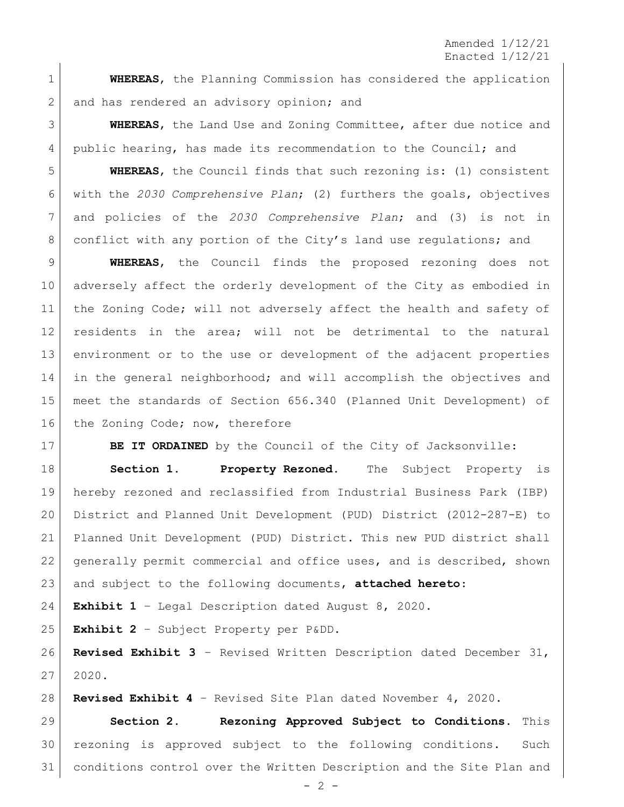Amended 1/12/21 Enacted 1/12/21

 **WHEREAS**, the Planning Commission has considered the application 2 and has rendered an advisory opinion; and

 **WHEREAS**, the Land Use and Zoning Committee, after due notice and public hearing, has made its recommendation to the Council; and

 **WHEREAS**, the Council finds that such rezoning is: (1) consistent with the *2030 Comprehensive Plan*; (2) furthers the goals, objectives and policies of the *2030 Comprehensive Plan*; and (3) is not in 8 conflict with any portion of the City's land use regulations; and

 **WHEREAS**, the Council finds the proposed rezoning does not adversely affect the orderly development of the City as embodied in the Zoning Code; will not adversely affect the health and safety of residents in the area; will not be detrimental to the natural environment or to the use or development of the adjacent properties in the general neighborhood; and will accomplish the objectives and meet the standards of Section 656.340 (Planned Unit Development) of 16 the Zoning Code; now, therefore

**BE IT ORDAINED** by the Council of the City of Jacksonville:

 **Section 1. Property Rezoned.** The Subject Property is hereby rezoned and reclassified from Industrial Business Park (IBP) District and Planned Unit Development (PUD) District (2012-287-E) to Planned Unit Development (PUD) District. This new PUD district shall generally permit commercial and office uses, and is described, shown and subject to the following documents, **attached hereto**:

**Exhibit 1** – Legal Description dated August 8, 2020.

**Exhibit 2** – Subject Property per P&DD.

 **Revised Exhibit 3** – Revised Written Description dated December 31, 2020.

**Revised Exhibit 4** – Revised Site Plan dated November 4, 2020.

 **Section 2. Rezoning Approved Subject to Conditions.** This rezoning is approved subject to the following conditions. Such conditions control over the Written Description and the Site Plan and

 $- 2 -$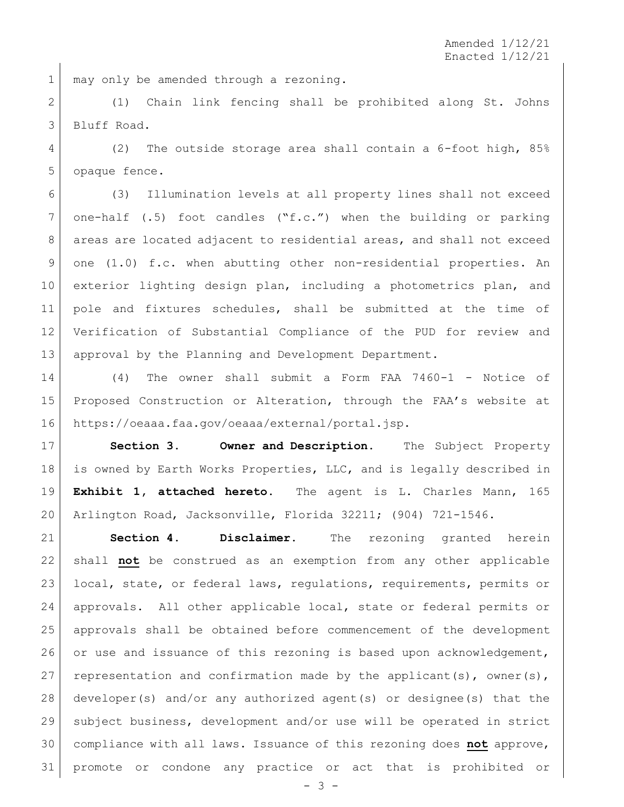1 may only be amended through a rezoning.

 (1) Chain link fencing shall be prohibited along St. Johns Bluff Road.

 (2) The outside storage area shall contain a 6-foot high, 85% opaque fence.

 (3) Illumination levels at all property lines shall not exceed one-half (.5) foot candles ("f.c.") when the building or parking 8 areas are located adjacent to residential areas, and shall not exceed one (1.0) f.c. when abutting other non-residential properties. An 10 exterior lighting design plan, including a photometrics plan, and pole and fixtures schedules, shall be submitted at the time of Verification of Substantial Compliance of the PUD for review and approval by the Planning and Development Department.

 (4) The owner shall submit a Form FAA 7460-1 - Notice of Proposed Construction or Alteration, through the FAA's website at https://oeaaa.faa.gov/oeaaa/external/portal.jsp.

 **Section 3. Owner and Description.** The Subject Property is owned by Earth Works Properties, LLC, and is legally described in **Exhibit 1, attached hereto**. The agent is L. Charles Mann, 165 Arlington Road, Jacksonville, Florida 32211; (904) 721-1546.

 **Section 4. Disclaimer.** The rezoning granted herein shall **not** be construed as an exemption from any other applicable local, state, or federal laws, regulations, requirements, permits or approvals. All other applicable local, state or federal permits or approvals shall be obtained before commencement of the development 26 or use and issuance of this rezoning is based upon acknowledgement, 27 representation and confirmation made by the applicant(s), owner(s), developer(s) and/or any authorized agent(s) or designee(s) that the subject business, development and/or use will be operated in strict compliance with all laws. Issuance of this rezoning does **not** approve, promote or condone any practice or act that is prohibited or

- 3 -